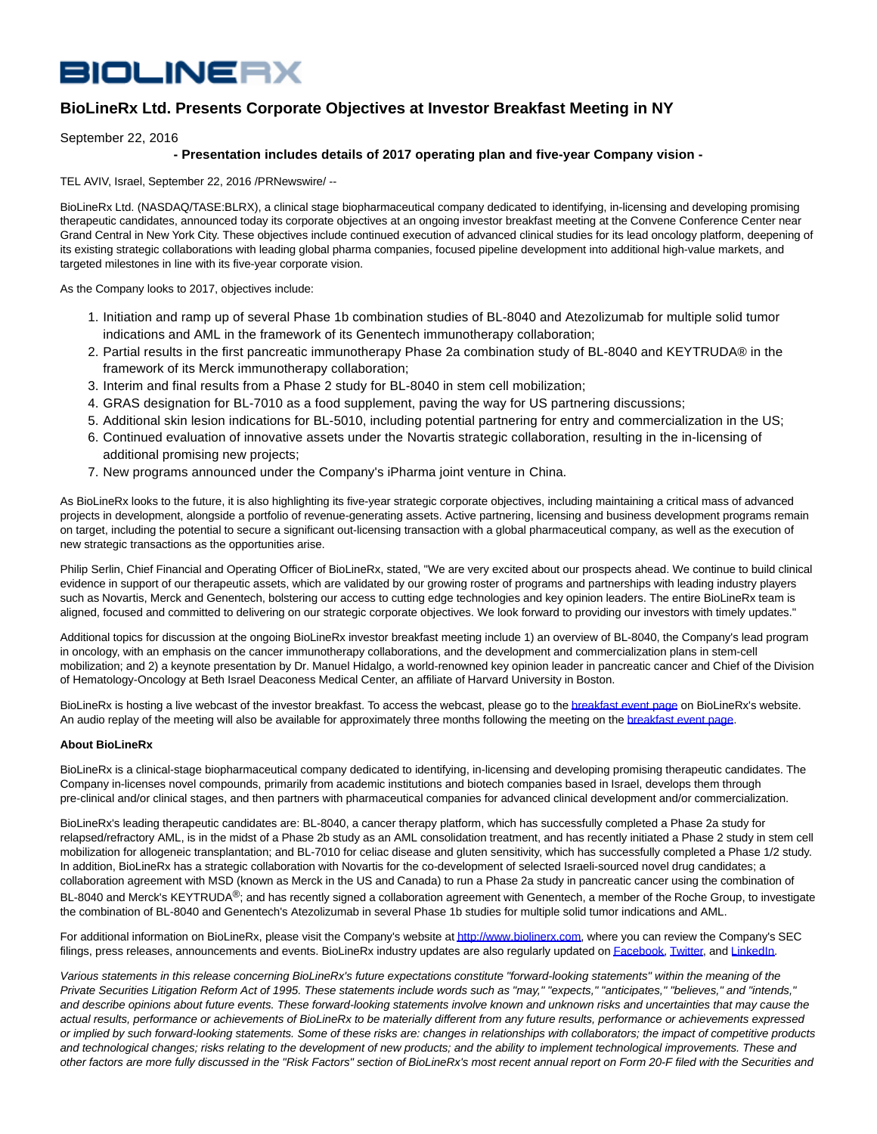## **BIOLINERX**

## **BioLineRx Ltd. Presents Corporate Objectives at Investor Breakfast Meeting in NY**

September 22, 2016

## **- Presentation includes details of 2017 operating plan and five-year Company vision -**

TEL AVIV, Israel, September 22, 2016 /PRNewswire/ --

BioLineRx Ltd. (NASDAQ/TASE:BLRX), a clinical stage biopharmaceutical company dedicated to identifying, in-licensing and developing promising therapeutic candidates, announced today its corporate objectives at an ongoing investor breakfast meeting at the Convene Conference Center near Grand Central in New York City. These objectives include continued execution of advanced clinical studies for its lead oncology platform, deepening of its existing strategic collaborations with leading global pharma companies, focused pipeline development into additional high-value markets, and targeted milestones in line with its five-year corporate vision.

As the Company looks to 2017, objectives include:

- 1. Initiation and ramp up of several Phase 1b combination studies of BL-8040 and Atezolizumab for multiple solid tumor indications and AML in the framework of its Genentech immunotherapy collaboration;
- 2. Partial results in the first pancreatic immunotherapy Phase 2a combination study of BL-8040 and KEYTRUDA® in the framework of its Merck immunotherapy collaboration;
- 3. Interim and final results from a Phase 2 study for BL-8040 in stem cell mobilization;
- 4. GRAS designation for BL-7010 as a food supplement, paving the way for US partnering discussions;
- 5. Additional skin lesion indications for BL-5010, including potential partnering for entry and commercialization in the US;
- 6. Continued evaluation of innovative assets under the Novartis strategic collaboration, resulting in the in-licensing of additional promising new projects;
- 7. New programs announced under the Company's iPharma joint venture in China.

As BioLineRx looks to the future, it is also highlighting its five-year strategic corporate objectives, including maintaining a critical mass of advanced projects in development, alongside a portfolio of revenue-generating assets. Active partnering, licensing and business development programs remain on target, including the potential to secure a significant out-licensing transaction with a global pharmaceutical company, as well as the execution of new strategic transactions as the opportunities arise.

Philip Serlin, Chief Financial and Operating Officer of BioLineRx, stated, "We are very excited about our prospects ahead. We continue to build clinical evidence in support of our therapeutic assets, which are validated by our growing roster of programs and partnerships with leading industry players such as Novartis, Merck and Genentech, bolstering our access to cutting edge technologies and key opinion leaders. The entire BioLineRx team is aligned, focused and committed to delivering on our strategic corporate objectives. We look forward to providing our investors with timely updates."

Additional topics for discussion at the ongoing BioLineRx investor breakfast meeting include 1) an overview of BL-8040, the Company's lead program in oncology, with an emphasis on the cancer immunotherapy collaborations, and the development and commercialization plans in stem-cell mobilization; and 2) a keynote presentation by Dr. Manuel Hidalgo, a world-renowned key opinion leader in pancreatic cancer and Chief of the Division of Hematology-Oncology at Beth Israel Deaconess Medical Center, an affiliate of Harvard University in Boston.

BioLineRx is hosting a live webcast of the investor breakfast. To access the webcast, please go to th[e breakfast event page o](http://www.biolinerx.com/default.asp?pageid=104&itemid=462)n BioLineRx's website. An audio replay of the meeting will also be available for approximately three months following the meeting on th[e breakfast event page.](http://www.biolinerx.com/default.asp?pageid=104&itemid=462)

## **About BioLineRx**

BioLineRx is a clinical-stage biopharmaceutical company dedicated to identifying, in-licensing and developing promising therapeutic candidates. The Company in-licenses novel compounds, primarily from academic institutions and biotech companies based in Israel, develops them through pre-clinical and/or clinical stages, and then partners with pharmaceutical companies for advanced clinical development and/or commercialization.

BioLineRx's leading therapeutic candidates are: BL-8040, a cancer therapy platform, which has successfully completed a Phase 2a study for relapsed/refractory AML, is in the midst of a Phase 2b study as an AML consolidation treatment, and has recently initiated a Phase 2 study in stem cell mobilization for allogeneic transplantation; and BL-7010 for celiac disease and gluten sensitivity, which has successfully completed a Phase 1/2 study. In addition, BioLineRx has a strategic collaboration with Novartis for the co-development of selected Israeli-sourced novel drug candidates; a collaboration agreement with MSD (known as Merck in the US and Canada) to run a Phase 2a study in pancreatic cancer using the combination of BL-8040 and Merck's KEYTRUDA<sup>®</sup>; and has recently signed a collaboration agreement with Genentech, a member of the Roche Group, to investigate the combination of BL-8040 and Genentech's Atezolizumab in several Phase 1b studies for multiple solid tumor indications and AML.

For additional information on BioLineRx, please visit the Company's website a[t http://www.biolinerx.com,](http://www.biolinerx.com/) where you can review the Company's SEC filings, press releases, announcements and events. BioLineRx industry updates are also regularly updated o[n Facebook,](https://www.facebook.com/BioLineRx-786986118113858/?fref=ts) [Twitter,](https://twitter.com/BioLineRx_Ltd) and [LinkedIn.](https://www.linkedin.com/company/biolinerx?trk=biz-companies-cym)

Various statements in this release concerning BioLineRx's future expectations constitute "forward-looking statements" within the meaning of the Private Securities Litigation Reform Act of 1995. These statements include words such as "may," "expects," "anticipates," "believes," and "intends, and describe opinions about future events. These forward-looking statements involve known and unknown risks and uncertainties that may cause the actual results, performance or achievements of BioLineRx to be materially different from any future results, performance or achievements expressed or implied by such forward-looking statements. Some of these risks are: changes in relationships with collaborators; the impact of competitive products and technological changes; risks relating to the development of new products; and the ability to implement technological improvements. These and other factors are more fully discussed in the "Risk Factors" section of BioLineRx's most recent annual report on Form 20-F filed with the Securities and